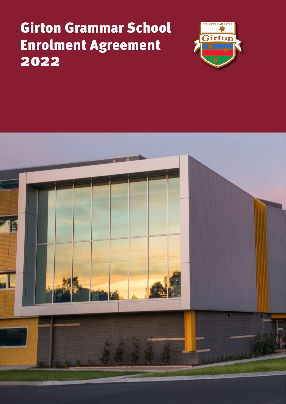# Girton Grammar School Enrolment Agreement 2022



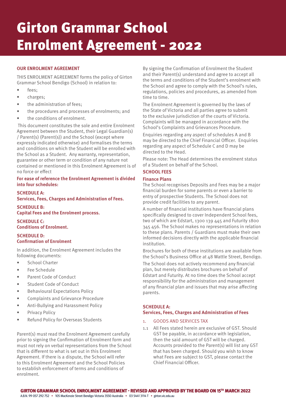# Girton Grammar School Enrolment Agreement - 2022

# **OUR ENROLMENT AGREEMENT**

THIS ENROLMENT AGREEMENT forms the policy of Girton Grammar School Bendigo (School) in relation to:

- fees;
- charges;
- the administration of fees:
- the procedures and processes of enrolments; and
- the conditions of enrolment.

 This document constitutes the sole and entire Enrolment Agreement between the Student, their Legal Guardian(s) / Parent(s) (Parent(s)) and the School (except where expressly indicated otherwise) and formalises the terms and conditions on which the Student will be enrolled with the School as a Student. Any warranty, representation, guarantee or other term or condition of any nature not contained or mentioned in this Enrolment Agreement is of no force or effect

**For ease of reference the Enrolment Agreement is divided into four schedules:**

#### **SCHEDULE A:**

**Services, Fees, Charges and Administration of Fees.** 

**SCHEDULE B: Capital Fees and the Enrolment process.**

**SCHEDULE C: Conditions of Enrolment.**

#### **SCHEDULE D: Confirmation of Enrolment**

In addition, the Enrolment Agreement includes the following documents:

- School Charter
- Fee Schedule
- Parent Code of Conduct
- Student Code of Conduct
- Behavioural Expectations Policy
- Complaints and Grievance Procedure
- Anti-Bullying and Harassment Policy
- Privacy Policy
- Refund Policy for Overseas Students

Parent(s) must read the Enrolment Agreement carefully prior to signing the Confirmation of Enrolment form and must not rely on verbal representations from the School that is different to what is set out in this Enrolment Agreement. If there is a dispute, the School will refer to this Enrolment Agreement and the School Policies to establish enforcement of terms and conditions of enrolment.

By signing the Confirmation of Enrolment the Student and their Parent(s) understand and agree to accept all the terms and conditions of the Student's enrolment with the School and agree to comply with the School's rules, regulations, policies and procedures, as amended from time to time.

The Enrolment Agreement is governed by the laws of the State of Victoria and all parties agree to submit to the exclusive jurisdiction of the courts of Victoria. Complaints will be managed in accordance with the School's Complaints and Grievances Procedure.

Enquiries regarding any aspect of schedules A and B may be directed to the Chief Financial Officer. Enquiries regarding any aspect of Schedule C and D may be directed to the Head.

Please note: The Head determines the enrolment status of a Student on behalf of the School.

## **SCHOOL FEES**

#### **Finance Plans**

The School recognises Deposits and Fees may be a major financial burden for some parents or even a barrier to entry of prospective Students. The School does not provide credit facilities to any parent.

A number of financial institutions have financial plans specifically designed to cover Independent School fees, two of which are Edstart, 1300 139 445 and Futurity 1800 345 456. The School makes no representations in relation to these plans. Parents / Guardians must make their own informed decisions directly with the applicable financial institution.

Brochures for both of these institutions are available from the School's Business Office at 48 Wattle Street, Bendigo.

The School does not actively recommend any financial plan, but merely distributes brochures on behalf of Edstart and Futurity. At no time does the School accept responsibility for the administration and management of any financial plan and issues that may arise affecting parents.

## **SCHEDULE A: Services, Fees, Charges and Administration of Fees**

## 1. GOODS AND SERVICES TAX

1.1 All Fees stated herein are exclusive of GST. Should GST be payable, in accordance with legislation, then the said amount of GST will be charged. Accounts provided to the Parent(s) will list any GST that has been charged. Should you wish to know what Fees are subject to GST, please contact the Chief Financial Officer.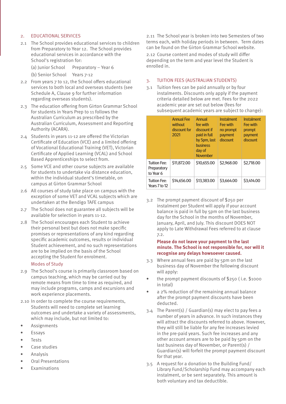# 2. EDUCATIONAL SERVICES

- 2.1 The School provides educational services to children from Preparatory to Year 12. The School provides educational services in accordance with the School's registration for:
	- (a) Junior School Preparatory Year 6
	- (b) Senior School Years 7-12
- 2.2 From years 7 to 12, the School offers educational services to both local and overseas students (see Schedule A, Clause 9 for further information regarding overseas students).
- 2.3 The education offering from Girton Grammar School for students in Years Prep to 11 follows the Australian Curriculum as prescribed by the Australian Curriculum, Assessment and Reporting Authority (ACARA).
- 2.4 Students in years 11-12 are offered the Victorian Certificate of Education (VCE) and a limited offering of Vocational Educational Training (VET), Victorian Certificate of Applied Learning (VCAL) and School Based Apprenticeships to select from.
- 2.5 Some VCE and other course subjects are available for students to undertake via distance education, within the individual student's timetable, on campus at Girton Grammar School
- 2.6 All courses of study take place on campus with the exception of some VET and VCAL subjects which are undertaken at the Bendigo TAFE campus
- 2.7 The School does not guarantee all subjects will be available for selection in years 11-12.
- 2.8 The School encourages each Student to achieve their personal best but does not make specific promises or representations of any kind regarding specific academic outcomes, results or individual Student achievement, and no such representations are to be implied on the basis of the School accepting the Student for enrolment.

## Modes of Study

- 2.9 The School's course is primarily classroom based on campus teaching, which may be carried out by remote means from time to time as required, and may include programs, camps and excursions and work experience placements.
- 2.10 In order to complete the course requirements, Students will need to complete set learning outcomes and undertake a variety of assessments, which may include, but not limited to:
- Assignments
- **Essays**
- Tests
- Case studies
- Analysis
- Oral Presentations
- **Examinations**

2.11 The School year is broken into two Semesters of two terms each, with holiday periods in between. Term dates can be found on the Girton Grammar School website. 2.12 Course content and modes of study will differ depending on the term and year level the Student is enrolled in.

## 3. TUITION FEES (AUSTRALIAN STUDENTS)

3.1 Tuition fees can be paid annually or by four instalments. Discounts only apply if the payment criteria detailed below are met. Fees for the 2022 academic year are set out below (fees for subsequent academic years are subject to change):

|                                                 | <b>Annual Fee</b><br>without<br>discount for<br>2021 | <b>Annual</b><br>fee with<br>discount if<br>paid in full<br>by 5pm, last<br><b>business</b><br>day of<br><b>November</b> | <b>Instalment</b><br>Fee with<br>no prompt<br>payment<br>discount | <b>Instalment</b><br>Fee with<br>prompt<br>payment<br>discount |
|-------------------------------------------------|------------------------------------------------------|--------------------------------------------------------------------------------------------------------------------------|-------------------------------------------------------------------|----------------------------------------------------------------|
| <b>Tuition Fee:</b><br>Preparatory<br>to Year 6 | \$11,872,00                                          | \$10,655,00                                                                                                              | \$2,968,00                                                        | \$2,718,00                                                     |
| <b>Tuition Fee:</b><br>Years 7 to 12            | S <sub>14</sub> ,656,00                              | \$13,383.00                                                                                                              | \$3,664.00                                                        | \$3,414.00                                                     |

3.2 The prompt payment discount of \$250 per instalment per Student will apply if your account balance is paid in full by 5pm on the last business day for the School in the months of November, January, April, and July. This discount DOES NOT apply to Late Withdrawal Fees referred to at clause 7.2.

## **Please do not leave your payment to the last minute. The School is not responsible for, nor will it recognise any delays howsoever caused.**

- 3.3 Where annual fees are paid by 5pm on the last business day of November the following discount will apply:
- the prompt payment discounts of \$250 ( i.e. \$1000 in total)
- a 2% reduction of the remaining annual balance after the prompt payment discounts have been deducted.
- 3.4 The Parent(s) / Guardian(s) may elect to pay fees a number of years in advance. In such instances they will attract the discounts referred to above. However, they will still be liable for any fee increases levied in the pre-paid years. Such fee increases and any other account arrears are to be paid by 5pm on the last business day of November, or Parent(s) / Guardian(s) will forfeit the prompt payment discount for that year.
- 3.5 A request for a donation to the Building Fund/ Library Fund/Scholarship Fund may accompany each instalment, or be sent separately. This amount is both voluntary and tax deductible.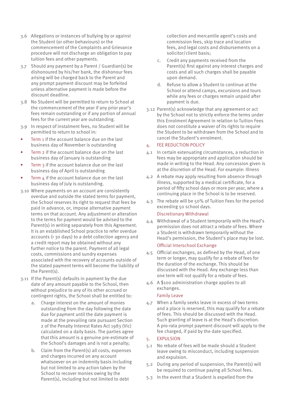- 3.6 Allegations or instances of bullying by or against the Student (or other behaviours) or the commencement of the Complaints and Grievance procedure will not discharge an obligation to pay tuition fees and other payments.
- 3.7 Should any payment by a Parent / Guardian(s) be dishonoured by his/her bank, the dishonour fees arising will be charged back to the Parent and any prompt payment discount may be forfeited unless alternative payment is made before the discount deadline.
- 3.8 No Student will be permitted to return to School at the commencement of the year if any prior year's fees remain outstanding or if any portion of annual fees for the current year are outstanding.
- 3.9 In respect of instalment fees, no Student will be permitted to return to school in:
- Term 1 if the account balance due on the last business day of November is outstanding
- Term 2 if the account balance due on the last business day of January is outstanding
- Term 3 if the account balance due on the last business day of April is outstanding
- Term  $\Delta$  if the account balance due on the last business day of July is outstanding.
- 3.10 Where payments on an account are consistently overdue and outside the stated terms for payment, the School reserves its right to request that fees be paid in advance, or, impose alternative payment terms on that account. Any adjustment or alteration to the terms for payment would be advised to the Parent(s) in writing separately from this Agreement. It is an established School practice to refer overdue accounts (> 30 days) to a debt collection agency and a credit report may be obtained without any further notice to the parent. Payment of all legal costs, commissions and sundry expenses associated with the recovery of accounts outside of the stated payment terms will become the liability of the Parent(s).
- 3.11 If the Parent(s) defaults in payment by the due date of any amount payable to the School, then without prejudice to any of its other accrued or contingent rights, the School shall be entitled to:
	- a. Charge interest on the amount of monies outstanding from the day following the date due for payment until the date payment is made at the prevailing rate pursuant Section 2 of the Penalty Interest Rates Act 1983 (Vic) calculated on a daily basis. The parties agree that this amount is a genuine pre-estimate of the School's damages and is not a penalty;
	- b. Claim from the Parent(s) all costs, expenses and charges incurred on any account whatsoever on an indemnity basis including but not limited to any action taken by the School to recover monies owing by the Parent(s), including but not limited to debt

collection and mercantile agent's costs and commission fees, skip trace and location fees, and legal costs and disbursements on a solicitor/client basis;

- c. Credit any payments received from the Parent(s) first against any interest charges and costs and all such charges shall be payable upon demand.
- d. Refuse to allow a Student to continue at the School or attend camps, excursions and tours while any fees or charges remain unpaid after payment is due.
- 3.12 Parent(s) acknowledge that any agreement or act by the School not to strictly enforce the terms under this Enrolment Agreement in relation to Tuition Fees does not constitute a waiver of its rights to require the Student to be withdrawn from the School and to cancel the Student's enrolment.

## 4. FEE REDUCTION POLICY

- 4.1 In certain extenuating circumstances, a reduction in fees may be appropriate and application should be made in writing to the Head. Any concession given is at the discretion of the Head. For example: Illness
- 4.2 A rebate may apply resulting from absence through illness, supported by a medical certificate, for a period of fifty school days or more per year, where a continuing place in the School is to be reserved.
- 4.3 The rebate will be 50% of Tuition Fees for the period exceeding 50 school days.

## Discretionary Withdrawal

- 4.4 Withdrawal of a Student temporarily with the Head's permission does not attract a rebate of fees. Where a Student is withdrawn temporarily without the Head's permission, the Student's place may be lost. Official Interschool Exchange
- 4.5 Official exchanges, as defined by the Head, of one term or longer, may qualify for a rebate of fees for the duration of the exchange. This should be discussed with the Head. Any exchange less than one term will not qualify for a rebate of fees.
- 4.6 A \$100 administration charge applies to all exchanges.

## Family Leave

4.7 When a family seeks leave in excess of two terms and a place is reserved, this may qualify for a rebate of fees. This should be discussed with the Head. Such granting of leave is at the Head's discretion. A pro-rata prompt payment discount will apply to the fee charged, if paid by the date specified.

## 5. EXPULSION

- 5.1 No rebate of fees will be made should a Student leave owing to misconduct, including suspension and expulsion.
- 5.2 During any period of suspension, the Parent(s) will be required to continue paying all School fees.
- 5.3 In the event that a Student is expelled from the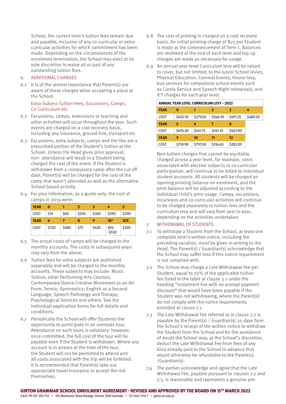School, the current term's tuition fees remain due and payable, inclusive of any co-curricular or extracurricular activities for which commitment has been made. Depending on the circumstances of the enrolment termination, the School may elect at its sole discretion to waive all or part of any outstanding tuition fees.

# 6. ADDITIONAL CHARGES

6.1 It is of the utmost importance that Parent(s) are aware of these charges when accepting a place at the School.

#### Extra Subject Tuition Fees, Excursions, Camps, Co-Curriculum etc.

- 6.2 Excursions, camps, extensions to teaching and other activities will occur throughout the year. Such events are charged on a cost recovery basis, including any insurance, ground hire, transport etc.
- 6.3 Excursions, extra subjects, camps and the like are a prescribed portion of the Student's tuition at the School. Unless the Head gives prior approval, non- attendance will result in a Student being charged the cost of the event. If the Student is withdrawn from a compulsory camp after the cut off date, Parent(s) will be charged for the cost of the camp that wasn't attended as well as the alternative School based activity.
- 6.4 For your information, as a guide only, the cost of camps in 2019 were:

| <b>YEAR</b> | 0    |      | 2     | 3     | 4     |            |
|-------------|------|------|-------|-------|-------|------------|
| <b>COST</b> | \$14 | \$60 | \$240 | \$360 | \$290 | \$290      |
| <b>YEAR</b> | 6    |      | 8     | 9     | $10*$ | <b>VCE</b> |
|             |      |      |       |       |       |            |

- 6.5 The actual costs of camps will be charged to the monthly accounts. The costs in subsequent years may vary from the above.
- 6.6 Tuition fees for extra subjects are published separately and will be charged to the monthly accounts. These subjects may include: Music Tuition; other Performing Arts Courses; Contemporary Dance-Creative Movement as an Art Form; Tennis; Gymnastics; English as a Second Language; Speech Pathology and Therapy; Psychological Services and others. See the individual application forms for full details and conditions.
- 6.7 Periodically the School will offer Students the opportunity to participate in an overseas tour. Attendance on such tours is voluntary: however, once committed, the full cost of the tour will be payable even if the Student is withdrawn. Where any account is in arrears at the time of the tour, the Student will not be permitted to attend and all costs associated with the trip will be forfeited. It is recommended that Parent(s) take out appropriate travel insurance or accept the risk themselves.
- 6.8 The cost of printing is charged on a cost recovery basis. An initial printing charge of \$25 per Student is made at the commencement of Term 1. Balances are reviewed at the end of each term and top up charges are made as necessary for usage.
- 6.9 An annual year-level Curriculum levy will be raised to cover, but not limited, to the Junior School levies, Physical Education, Carnival Events, House levy, bus services for compulsory school events such as Carols Service and Speech Night rehearsals, and ICT charges for each year level.

| <b>ANNUAL YEAR LEVEL CURRICULUM LEVY - 2022</b> |          |          |          |                   |          |
|-------------------------------------------------|----------|----------|----------|-------------------|----------|
| <b>YEAR</b>                                     | 0        |          | 2        | з                 | 4        |
| COST                                            | \$425.70 | \$379.50 | \$366.95 | S491.25           | \$489.30 |
| <b>YEAR</b>                                     | 5        | 6        | 7        | 8                 |          |
| COST                                            | \$476.20 | \$541.75 | \$541.35 | \$563.90          |          |
| <b>YEAR</b>                                     | 9        | 10       | 11       | $12 \overline{ }$ |          |
| COST                                            | \$759.90 | \$797.00 | \$316.65 | \$283.05          |          |

Non-tuition charges that cannot be equitably charged across a year level, for example, costs associated with elective subjects or co-curricular participation, will continue to be billed to individual student accounts. All students will be charged an opening printing balance on enrolment, and the print balance will be adjusted according to the individual child's print usage. Camps, excursions, incursions and co-curricular activities will continue to be charged separately to tuition fees and the curriculum levy and will vary from year to year, depending on the activities undertaken

#### 7. WITHDRAWAL OF STUDENTS

- 7.1 To withdraw a Student from the School, at least one complete term's written notice, including the preceding vacation, must be given in writing to the Head. The Parent(s) / Guardian(s) acknowledge that the School may suffer loss if this notice requirement is not complied with.
- 7.2 The School may charge a Late Withdrawal Fee per Student, equal to 70% of the applicable tuition fee listed in the table at clause 3.1 under the heading "Instalment Fee with no prompt payment discount" that would have been payable if the Student was not withdrawing, where the Parent(s) do not comply with the notice requirements provided at clause 7.1.
- 7.3 The Late Withdrawal Fee referred to in clause 7.2 is payable by the Parent(s) / Guardian(s) 30 days from the School's receipt of the written notice to withdraw the Student from the School and for the avoidance of doubt the School may, at the School's discretion, deduct the Late Withdrawal Fee from fees of any kind already paid to the School in advance that would otherwise be refundable to the Parent(s) /Guardian(s).
- 7.4 The parties acknowledge and agree that the Late Withdrawal Fee, payable pursuant to clauses 7.2 and 7.3, is reasonable and represents a genuine pre-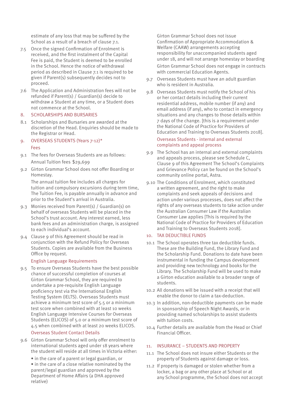estimate of any loss that may be suffered by the School as a result of a breach of clause 7.1.

- 7.5 Once the signed Confirmation of Enrolment is received, and the first instalment of the Capital Fee is paid, the Student is deemed to be enrolled in the School. Hence the notice of withdrawal period as described in Clause 7.1 is required to be given if Parent(s) subsequently decides not to proceed.
- 7.6 The Application and Administration fees will not be refunded if Parent(s) / Guardian(s) decide to withdraw a Student at any time, or a Student does not commence at the School.

#### 8. SCHOLARSHIPS AND BURSARIES

8.1 Scholarships and Bursaries are awarded at the discretion of the Head. Enquiries should be made to the Registrar or Head.

## 9. OVERSEAS STUDENTS (Years 7-12)\* Fees

- 9.1 The fees for Overseas Students are as follows: Annual Tuition fees \$29,699
- 9.2 Girton Grammar School does not offer Boarding or Homestay.

The annual tuition fee includes all charges for tuition and compulsory excursions during term time, The Tuition Fee, is payable annually in advance and prior to the Student's arrival in Australia.

- 9.3 Monies received from Parent(s) / Guardian(s) on behalf of overseas Students will be placed in the School's trust account. Any interest earned, less bank fees and an administration charge, is assigned to each individual's account.
- 9.4 Clause 9 of this Agreement should be read in conjunction with the Refund Policy for Overseas Students. Copies are available from the Business Office by request.

#### English Language Requirements

9.5 To ensure Overseas Students have the best possible chance of successful completion of courses at Girton Grammar School, they are required to undertake a pre-requisite English Language proficiency test via the International English Testing System (IELTS). Overseas Students must achieve a minimum test score of 5.5 or a minimum test score when combined with at least 10 weeks English Language Intensive Courses for Overseas Students (ELICOS) of 5.0 or a minimum test score of 4.5 when combined with at least 20 weeks ELICOS.

#### Overseas Student Contact Details

9.6 Girton Grammar School will only offer enrolment to international students aged under 18 years where the student will reside at all times in Victoria either:

• in the care of a parent or legal guardian, or • in the care of a close relative nominated by the parent/legal guardian and approved by the Department of Home Affairs (a DHA approved relative)

Girton Grammar School does not issue Confirmation of Appropriate Accommodation & Welfare (CAAW) arrangements accepting responsibility for unaccompanied students aged under 18, and will not arrange homestay or boarding Girton Grammar School does not engage in contracts with commercial Education Agents.

- 9.7 Overseas Students must have an adult guardian who is resident in Australia.
- 9.8 Overseas Students must notify the School of his or her contact details including their current residential address, mobile number (if any) and email address (if any), who to contact in emergency situations and any changes to those details within 7 days of the change. [this is a requirement under the National Code of Practice for Providers of Education and Training to Overseas Students 2018].

#### Overseas Students - internal and external complaints and appeal process

- 9.9 The School has an internal and external complaints and appeals process, please see Schedule C, Clause 9 of this Agreement The School's Complaints and Grievance Policy can be found on the School's community online portal, Astra.
- 9.10 The Conditions of Enrolment, which constituted a written agreement, and the right to make complaints and seek appeals of decisions and action under various processes, does not affect the rights of any overseas students to take action under the Australian Consumer Law if the Australian Consumer Law applies [This is required by the National Code of Practice for Providers of Education and Training to Overseas Students 2018].

## 10. TAX DEDUCTIBLE FUNDS

- 10.1 The School operates three tax deductible funds. These are the Building Fund, the Library Fund and the Scholarship Fund. Donations to date have been instrumental in funding the Campus development and providing new technology and books for the Library. The Scholarship Fund will be used to make a Girton education available to a broader range of students.
- 10.2 All donations will be issued with a receipt that will enable the donor to claim a tax-deduction.
- 10.3 In addition, non-deductible payments can be made in sponsorship of Speech Night Awards, or in providing named scholarships to assist students with tuition costs.
- 10.4 Further details are available from the Head or Chief Financial Officer.

#### 11. INSURANCE – STUDENTS AND PROPERTY

- 11.1 The School does not insure either Students or the property of Students against damage or loss.
- 11.2 If property is damaged or stolen whether from a locker, a bag or any other place at School or at any School programme, the School does not accept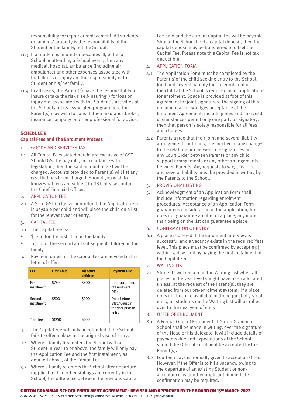responsibility for repair or replacement. All students' or families' property is the responsibility of the Student or the family, not the School.

- 11.3 If a Student is injured or becomes ill, either at School or attending a School event, then any medical, hospital, ambulance (including air ambulance) and other expenses associated with that illness or injury are the responsibility of the Student or his/her family.
- 11.4 In all cases, the Parent(s) have the responsibility to insure or take the risk ("self-insuring") for loss or injury etc. associated with the Student's activities at the School and its associated programmes. The Parent(s) may wish to consult their insurance broker, insurance company or other professional for advice.

#### **SCHEDULE B Capital Fees and The Enrolment Process**

#### 1. GOODS AND SERVICES TAX

1.1 All Capital Fees stated herein are exclusive of GST. Should GST be payable, in accordance with legislation, then the said amount of GST will be charged. Accounts provided to Parent(s) will list any GST that has been charged. Should you wish to know what fees are subject to GST, please contact the Chief Financial Officer.

#### 2. APPLICATION FEE

2.1 A \$110 GST inclusive non-refundable Application Fee is payable per child and will place the child on a list for the relevant year of entry.

## 3. CAPITAL FEE

- 3.1 The Capital Fee is:
- \$1250 for the first child in the family
- \$500 for the second and subsequent children in the family.
- 3.2 Payment dates for the Capital Fee are advised in the letter of offer:

| <b>FEE</b>           | <b>First Child</b> | <b>All other</b><br>children | <b>Payment Due</b>                                           |
|----------------------|--------------------|------------------------------|--------------------------------------------------------------|
| First<br>instalment  | \$750              | \$300                        | Upon acceptance<br>of Enrolment<br>Offer                     |
| Second<br>instalment | \$500              | \$200                        | On or before<br>31st August in<br>the year prior to<br>entry |
| <b>Total fee</b>     | \$1250             | \$500                        |                                                              |

- 3.3 The Capital Fee will only be refunded if the School fails to offer a place in the original year of entry.
- 3.4 Where a family first enters the School with a Student in Year 10 or above, the family will only pay the Application Fee and the first instalment, as detailed above, of the Capital Fee.
- 3.5 Where a family re-enters the School after departure (applicable if no other siblings are currently in the School) the difference between the previous Capital

Fee paid and the current Capital Fee will be payable. Should the School hold a capital deposit, then the capital deposit may be transferred to offset the Capital Fee. Please note this Capital Fee is not tax deductible.

#### 4. APPLICATION FORM

- 4.1 The Application Form must be completed by the Parent(s)of the child seeking entry to the School. Joint and several liability for the enrolment of the child at the School is required in all applications for enrolment. Space is provided at foot of this agreement for joint signatures. The signing of this document acknowledges acceptance of the Enrolment Agreement, including fees and charges.If circumstances permit only one party as signatory, then that person is solely responsible for all fees and charges.
- 4.2 Parents agree that their joint and several liability arrangement continues, irrespective of any changes to the relationship between co-signatories or any Court Order between Parents or any child support arrangements or any other arrangements between Parents. Any requests to vary this joint and several liability must be provided in writing by the Parents to the School.

## 5. PROVISIONAL LISTING

5.1 Acknowledgment of an Application Form shall include information regarding enrolment procedures. Acceptance of an Application Form guarantees consideration of the application, but does not guarantee an offer of a place, any more than being on the list can guarantee a place.

## 6. CONFIRMATION OF ENTRY

6.1 A place is offered if the Enrolment Interview is successful and a vacancy exists in the required Year level. This place must be confirmed by accepting | within 14 days and by paying the first instalment of the Capital Fee.

#### 7. WAITING LIST

7.1 Students will remain on the Waiting List when all places in the year level sought have been allocated, unless, at the request of the Parent(s), they are deleted from our pre-enrolment system. If a place does not become available in the requested year of entry, all students on the Waiting List will be rolled over to the next year of entry.

#### 8. OFFER OF ENROLMENT

- 8.1 A Formal Offer of Enrolment at Girton Grammar School shall be made in writing, over the signature of the Head or his delegate. It will include details of payments due and expectations of the School should the Offer of Enrolment be accepted by the Parent(s).
- 8.2 Fourteen days is normally given to accept an Offer. However, if the Offer is to fill a vacancy, owing to the departure of an existing Student or nonacceptance by another applicant, immediate confirmation may be required.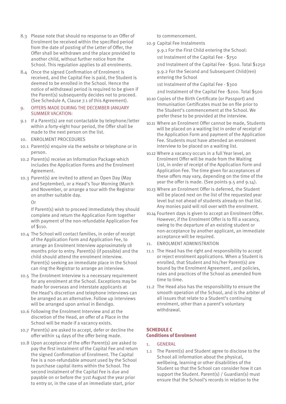- 8.3 Please note that should no response to an Offer of Enrolment be received within the specified period from the date of posting of the Letter of Offer, the Offer shall be withdrawn and the place provided to another child, without further notice from the School. This regulation applies to all enrolments.
- 8.4 Once the signed Confirmation of Enrolment is received, and the Capital Fee is paid, the Student is deemed to be enrolled in the School. Hence the notice of withdrawal period is required to be given if the Parent(s) subsequently decides not to proceed. (See Schedule A, Clause 7.1 of this Agreement).

#### 9. OFFERS MADE DURING THE DECEMBER-JANUARY SUMMER VACATION:

- 9.1 If a Parent(s) are not contactable by telephone/letter within a forty-eight hour period, the Offer shall be made to the next person on the list.
- 10. ENROLMENT PROCEDURES
- 10.1 Parent(s) enquire via the website or telephone or in person.
- 10.2 Parent(s) receive an Information Package which includes the Application Forms and the Enrolment Agreement.
- 10.3 Parent(s) are invited to attend an Open Day (May and September), or a Head's Tour Morning (March and November, or arrange a tour with the Registrar on another suitable day.

Or

If Parent(s) wish to proceed immediately they should complete and return the Application Form together with payment of the non-refundable Application Fee of \$110.

- 10.4 The School will contact families, in order of receipt of the Application Form and Application Fee, to arrange an Enrolment Interview approximately 18 months prior to entry. Parent(s) (if possible) and the child should attend the enrolment interview. Parent(s) seeking an immediate place in the School can ring the Registrar to arrange an interview.
- 10.5 The Enrolment Interview is a necessary requirement for any enrolment at the School. Exceptions may be made for overseas and interstate applicants at the Head's discretion and telephone interviews can be arranged as an alternative. Follow up interviews will be arranged upon arrival in Bendigo.
- 10.6 Following the Enrolment Interview and at the discretion of the Head, an offer of a Place in the School will be made if a vacancy exists.
- 10.7 Parent(s) are asked to accept, defer or decline the offer within 14 days of the offer being made.
- 10.8 Upon acceptance of the offer Parent(s) are asked to pay the first instalment of the Capital Fee and return the signed Confirmation of Enrolment. The Capital Fee is a non-refundable amount used by the School to purchase capital items within the School. The second instalment of the Capital Fee is due and payable on or before the 31st August the year prior to entry or, in the case of an immediate start, prior

to commencement.

10.9 Capital Fee Instalments

9.9.1 For the First Child entering the School:

1st Instalment of the Capital Fee - \$750

2nd Instalment of the Capital Fee - \$500. Total \$1250 9.9.2 For the Second and Subsequent Child(ren)

entering the School

1st Instalment of the Capital Fee - \$300

2nd Instalment of the Capital Fee -\$200. Total \$500

- 10.10 Copies of the Birth Certificate (or Passport) and Immunisation Certificates must be on file prior to the Student's commencement at the School. We prefer these to be provided at the interview.
- 10.11 Where an Enrolment Offer cannot be made, Students will be placed on a waiting list in order of receipt of the Application Form and payment of the Application Fee. Students must have attended an enrolment interview to be placed on a waiting list.
- 10.12 Where a vacancy occurs in a full Year level, an Enrolment Offer will be made from the Waiting List, in order of receipt of the Application Form and Application Fee. The time given for acceptances of these offers may vary, depending on the time of the year the offer is made. (See points 9.5 and 9.14).
- 10.13 Where an Enrolment Offer is deferred, the Student will be placed next on the list of the requested year level but not ahead of students already on that list. Any monies paid will roll over with the enrolment.
- 10.14 Fourteen days is given to accept an Enrolment Offer. However, if the Enrolment Offer is to fill a vacancy, owing to the departure of an existing student or non-acceptance by another applicant, an immediate acceptance will be required.
- 11. ENROLMENT ADMINISTRATION
- 11.1 The Head has the right and responsibility to accept or reject enrolment applications. When a Student is enrolled, that Student and his/her Parent(s) are bound by the Enrolment Agreement , and policies, rules and practices of the School as amended from time to time.
- 11.2 The Head also has the responsibility to ensure the smooth operation of the School, and is the arbiter of all issues that relate to a Student's continuing enrolment, other than a parent's voluntary withdrawal.

# **SCHEDULE C Conditions of Enrolment**

## 1. GENERAL

1.1 The Parent(s) and Student agree to disclose to the School all information about the physical, wellbeing, learning or other disabilities of the Student so that the School can consider how it can support the Student. Parent(s) / Guardian(s) must ensure that the School's records in relation to the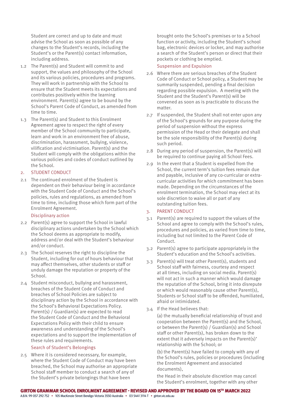Student are correct and up to date and must advise the School as soon as possible of any changes to the Student's records, including the Student's or the Parent(s) contact information, including address.

- 1.2 The Parent(s) and Student will commit to and support, the values and philosophy of the School and its various policies, procedures and programs. They will work in partnership with the School to ensure that the Student meets its expectations and contributes positively within the learning environment. Parent(s) agree to be bound by the School's Parent Code of Conduct, as amended from time to time.
- 1.3 The Parent(s) and Student to this Enrolment Agreement agree to respect the right of every member of the School community to participate, learn and work in an environment free of abuse, discrimination, harassment, bullying, violence, vilification and victimisation. Parent(s) and the Student will comply with the obligations within the various policies and codes of conduct outlined by the School.

#### 2. STUDENT CONDUCT

2.1 The continued enrolment of the Student is dependent on their behaviour being in accordance with the Student Code of Conduct and the School's policies, rules and regulations, as amended from time to time, including those which form part of the Enrolment Agreement.

#### Disciplinary action

- 2.2 Parent(s) agree to support the School in lawful disciplinary actions undertaken by the School which the School deems as appropriate to modify, address and/or deal with the Student's behaviour and/or conduct.
- 2.3 The School reserves the right to discipline the Student, including for out of hours behaviour that may affect themselves, other students or staff or unduly damage the reputation or property of the School.
- 2.4 Student misconduct, bullying and harassment, breaches of the Student Code of Conduct and breaches of School Policies are subject to disciplinary action by the School in accordance with the School's Behavioral Expectations Policy. Parent(s) / Guardian(s) are expected to read the Student Code of Conduct and the Behavioral Expectations Policy with their child to ensure awareness and understanding of the School's expectations and to support the implementation of these rules and requirements.

#### Search of Student's Belongings

2.5 Where it is considered necessary, for example, where the Student Code of Conduct may have been breached, the School may authorise an appropriate School staff member to conduct a search of any of the Student's private belongings that have been

brought onto the School's premises or to a School function or activity, including the Student's school bag, electronic devices or locker, and may authorise a search of the Student's person or direct that their pockets or clothing be emptied.

#### Suspension and Expulsion

- 2.6 Where there are serious breaches of the Student Code of Conduct or School policy, a Student may be summarily suspended, pending a final decision regarding possible expulsion. A meeting with the Student and the Student's Parent(s) will be convened as soon as is practicable to discuss the matter.
- 2.7 If suspended, the Student shall not enter upon any of the School's grounds for any purpose during the period of suspension without the express permission of the Head or their delegate and shall be the sole responsibility of the Parent(s) during such period.
- 2.8 During any period of suspension, the Parent(s) will be required to continue paying all School Fees.
- 2.9 In the event that a Student is expelled from the School, the current term's tuition fees remain due and payable, inclusive of any co-curricular or extracurricular activities for which commitment has been made. Depending on the circumstances of the enrolment termination, the School may elect at its sole discretion to waive all or part of any outstanding tuition fees.

#### 3. PARENT CONDUCT

- 3.1 Parent(s) are required to support the values of the School and agree to comply with the School's rules, procedures and policies, as varied from time to time, including but not limited to the Parent Code of Conduct.
- 3.2 Parent(s) agree to participate appropriately in the Student's education and the School's activities.
- 3.3 Parent(s) will treat other Parent(s), students and School staff with fairness, courtesy and respect at all times, including on social media. Parent(s) will not act in such a manner which would damage the reputation of the School, bring it into disrepute or which would reasonably cause other Parent(s), Students or School staff to be offended, humiliated, afraid or intimidated.
- 3.4 If the Head believes that:

(a) the mutually beneficial relationship of trust and cooperation between the Parent(s) and the School, or between the Parent(s) / Guardian(s) and School staff or other Parent(s), has broken down to the extent that it adversely impacts on the Parent(s)' relationship with the School; or

(b) the Parent(s) have failed to comply with any of the School's rules, policies or procedures (including the Enrolment Agreement and associated documents),

the Head in their absolute discretion may cancel the Student's enrolment, together with any other

A.B.N. 99 057 292 752 • 105 MacKenzie Street Bendigo Victoria 3550 Australia • 03 5441 3114 T • girton.vic.edu.au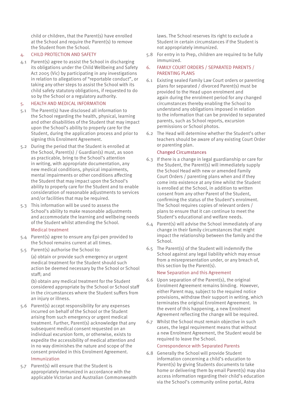child or children, that the Parent(s) have enrolled at the School and require the Parent(s) to remove the Student from the School.

## 4. CHILD PROTECTION AND SAFETY

4.1 Parent(s) agree to assist the School in discharging its obligations under the Child Wellbeing and Safety Act 2005 (Vic) by participating in any investigations in relation to allegations of "reportable conduct", or taking any other steps to assist the School with its child safety statutory obligations, if requested to do so by the School or a regulatory authority.

## 5. HEALTH AND MEDICAL INFORMATION

- 5.1 The Parent(s) have disclosed all information to the School regarding the health, physical, learning and other disabilities of the Student that may impact upon the School's ability to properly care for the Student, during the application process and prior to signing this Enrolment Agreement.
- 5.2 During the period that the Student is enrolled at the School, Parent(s) / Guardian(s) must, as soon as practicable, bring to the School's attention in writing, with appropriate documentation, any new medical conditions, physical impairments, mental impairments or other conditions affecting the Student that may impact upon the School's ability to properly care for the Student and to enable consideration of reasonable adjustments to services and/or facilities that may be required.
- 5.3 This information will be used to assess the School's ability to make reasonable adjustments and accommodate the learning and wellbeing needs of the Student whilst attending the School.

## Medical treatment

- 5.4 Parent(s) agree to ensure any Epi-pen provided to the School remains current at all times.
- 5.5 Parent(s) authorise the School to:

(a) obtain or provide such emergency or urgent medical treatment for the Student should such action be deemed necessary by the School or School staff; and

(b) obtain any medical treatment for the Student considered appropriate by the School or School staff in the circumstances where the Student suffers from an injury or illness.

5.6 Parent(s) accept responsibility for any expenses incurred on behalf of the School or the Student arising from such emergency or urgent medical treatment. Further, Parent(s) acknowledge that any subsequent medical consent requested on an individual excursion form, or otherwise, exists to expedite the accessibility of medical attention and in no way diminishes the nature and scope of the consent provided in this Enrolment Agreement.

# Immunization

5.7 Parent(s) will ensure that the Student is appropriately immunized in accordance with the applicable Victorian and Australian Commonwealth laws. The School reserves its right to exclude a Student in certain circumstances if the Student is not appropriately immunized.

- 5.8 For entry in to Prep, children are required to be fully immunized.
- 6. FAMILY COURT ORDERS / SEPARATED PARENTS / PARENTING PLANS
- 6.1 Existing sealed Family Law Court orders or parenting plans for separated / divorced Parent(s) must be provided to the Head upon enrolment and again during the enrolment period for any changed circumstances thereby enabling the School to understand any obligations imposed in relation to the information that can be provided to separated parents, such as School reports, excursion permissions or School photos.
- 6.2 The Head will determine whether the Student's other teachers should be aware of any existing Court Order or parenting plan.

## Changed Circumstances

- 6.3 If there is a change in legal guardianship or care for the Student, the Parent(s) will immediately supply the School Head with new or amended Family Court Orders / parenting plans when and if they come into existence at any time whilst the Student is enrolled at the School, in addition to written consent from any other Parent of the Student, confirming the status of the Student's enrolment. The School requires copies of relevant orders / plans to ensure that it can continue to meet the Student's educational and welfare needs.
- 6.4 Parent(s) will advise the School immediately of any change in their family circumstances that might impact the relationship between the family and the School.
- 6.5 The Parent(s) of the Student will indemnify the School against any legal liability which may ensue from a misrepresentation under, or any breach of, this section by the Parent(s).

## New Separation and this Agreement

- 6.6 Upon separation of the Parent(s), the original Enrolment Agreement remains binding. However, either Parent may, subject to the required notice provisions, withdraw their support in writing, which terminates the original Enrolment Agreement. In the event of this happening, a new Enrolment Agreement reflecting the change will be required.
- 6.7 Whilst the School must remain objective in such cases, the legal requirement means that without a new Enrolment Agreement, the Student would be required to leave the School.

# Correspondence with Separated Parents

6.8 Generally the School will provide Student information concerning a child's education to Parent(s) by giving Students documents to take home or delivering them by email Parent(s) may also access information regarding their child's education via the School's community online portal, Astra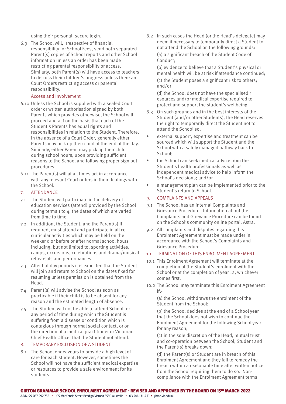using their personal, secure login.

6.9 The School will, irrespective of financial responsibility for School Fees, send both separated Parent(s) copies of School reports and other School information unless an order has been made restricting parental responsibility or access. Similarly, both Parent(s) will have access to teachers to discuss their children's progress unless there are Court Orders restricting access or parental responsibility.

#### Access and Involvement

- 6.10 Unless the School is supplied with a sealed Court order or written authorisation signed by both Parents which provides otherwise, the School will proceed and act on the basis that each of the Student's Parents has equal rights and responsibilities in relation to the Student. Therefore, in the absence of a Court Order, generally either Parents may pick up their child at the end of the day. Similarly, either Parent may pick up their child during school hours, upon providing sufficient reasons to the School and following proper sign out procedures.
- 6.11 The Parent(s) will at all times act in accordance with any relevant Court orders in their dealings with the School.

## 7. ATTENDANCE

- 7.1 The Student will participate in the delivery of education services (attend) provided by the School during terms 1 to 4, the dates of which are varied from time to time.
- 7.2 In addition, the Student, and the Parent(s) if required, must attend and participate in all cocurricular activities which may be held on the weekend or before or after normal school hours including, but not limited to, sporting activities, camps, excursions, celebrations and drama/musical rehearsals and performances.
- 7.3 After holiday periods it is expected that the Student will join and return to School on the dates fixed for resuming unless permission is obtained from the Head.
- 7.4 Parent(s) will advise the School as soon as practicable if their child is to be absent for any reason and the estimated length of absence.
- 7.5 The Student will not be able to attend School for any period of time during which the Student is suffering from a disease or condition which is contagious through normal social contact, or on the direction of a medical practitioner or Victorian Chief Health Officer that the Student not attend.

## 8. TEMPORARY EXCLUSION OF A STUDENT

8.1 The School endeavours to provide a high level of care for each student. However, sometimes the School will not have the sufficient medical expertise or resources to provide a safe environment for its students.

8.2 In such cases the Head (or the Head's delegate) may deem it necessary to temporarily direct a Student to not attend the School on the following grounds: (a) a significant breach of the Student Code of Conduct;

(b) evidence to believe that a Student's physical or mental health will be at risk if attendance continued;

(c) the Student poses a significant risk to others; and/or

(d) the School does not have the specialised r esources and/or medical expertise required to protect and support the student's wellbeing.

- 8.3 On such grounds and in the best interests of the Student (and/or other Students), the Head reserves the right to temporarily direct the Student not to attend the School so,
- external support, expertise and treatment can be sourced which will support the Student and the School with a safely managed pathway back to School;
- the School can seek medical advice from the Student's health professionals as well as independent medical advice to help inform the School's decisions; and/or
- a management plan can be implemented prior to the Student's return to School.

## 9. COMPLAINTS AND APPEALS

- 9.1 The School has an internal Complaints and Grievance Procedure. Information about the Complaints and Grievance Procedure can be found on the School's community online portal, Astra.
- 9.2 All complaints and disputes regarding this Enrolment Agreement must be made under in accordance with the School's Complaints and Grievance Procedure.

#### 10. TERMINATION OF THIS ENROLMENT AGREEMENT

- 10.1 This Enrolment Agreement will terminate at the completion of the Student's enrolment with the School or at the completion of year 12, whichever comes first.
- 10.2 The School may terminate this Enrolment Agreement if:-

(a) the School withdraws the enrolment of the Student from the School;

(b) the School decides at the end of a School year that the School does not wish to continue the Enrolment Agreement for the following School year for any reason;

(c) in the sole discretion of the Head, mutual trust and co-operation between the School, Student and the Parent(s) breaks down;

(d) the Parent(s) or Student are in breach of this Enrolment Agreement and they fail to remedy the breach within a reasonable time after written notice from the School requiring them to do so. Noncompliance with the Enrolment Agreement terms